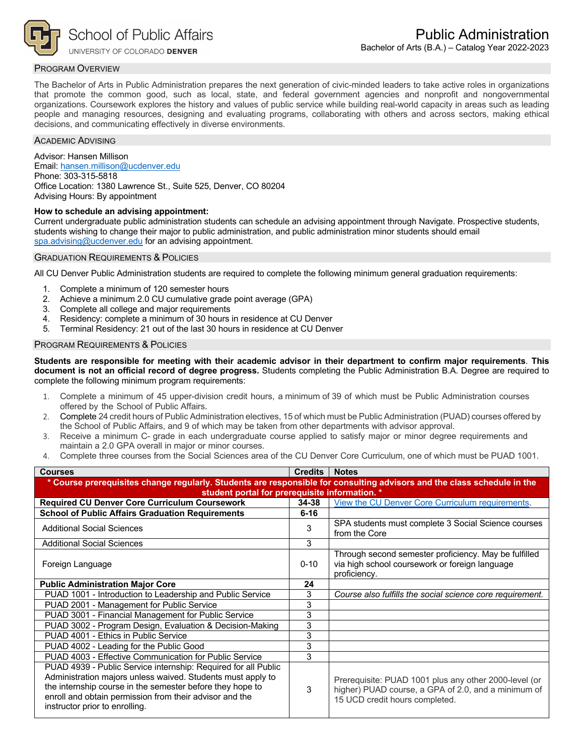

# PROGRAM OVERVIEW

The Bachelor of Arts in Public Administration prepares the next generation of civic-minded leaders to take active roles in organizations that promote the common good, such as local, state, and federal government agencies and nonprofit and nongovernmental organizations. Coursework explores the history and values of public service while building real-world capacity in areas such as leading people and managing resources, designing and evaluating programs, collaborating with others and across sectors, making ethical decisions, and communicating effectively in diverse environments.

### ACADEMIC ADVISING

Advisor: Hansen Millison Email: [hansen.millison@ucdenver.edu](mailto:hansen.millison@ucdenver.edu) Phone: 303-315-5818 Office Location: 1380 Lawrence St., Suite 525, Denver, CO 80204 Advising Hours: By appointment

# **How to schedule an advising appointment:**

Current undergraduate public administration students can schedule an advising appointment through Navigate. Prospective students, students wishing to change their major to public administration, and public administration minor students should email [spa.advising@ucdenver.edu](mailto:spa.advising@ucdenver.edu) for an advising appointment.

### GRADUATION REQUIREMENTS & POLICIES

All CU Denver Public Administration students are required to complete the following minimum general graduation requirements:

- 1. Complete a minimum of 120 semester hours
- 2. Achieve a minimum 2.0 CU cumulative grade point average (GPA)
- 3. Complete all college and major requirements
- 4. Residency: complete a minimum of 30 hours in residence at CU Denver
- 5. Terminal Residency: 21 out of the last 30 hours in residence at CU Denver

### PROGRAM REQUIREMENTS & POLICIES

**Students are responsible for meeting with their academic advisor in their department to confirm major requirements**. **This document is not an official record of degree progress.** Students completing the Public Administration B.A. Degree are required to complete the following minimum program requirements:

- 1. Complete a minimum of 45 upper-division credit hours, a minimum of 39 of which must be Public Administration courses offered by the School of Public Affairs.
- 2. Complete 24 credit hours of Public Administration electives, 15 of which must be Public Administration (PUAD) courses offered by the School of Public Affairs, and 9 of which may be taken from other departments with advisor approval.
- 3. Receive a minimum C- grade in each undergraduate course applied to satisfy major or minor degree requirements and maintain a 2.0 GPA overall in major or minor courses.
- 4. Complete three courses from the Social Sciences area of the CU Denver Core Curriculum, one of which must be PUAD 1001.

| <b>Courses</b>                                                                                                                                                                                                                                                                          | <b>Credits</b>                                 | <b>Notes</b>                                                                                                                                   |  |  |  |  |
|-----------------------------------------------------------------------------------------------------------------------------------------------------------------------------------------------------------------------------------------------------------------------------------------|------------------------------------------------|------------------------------------------------------------------------------------------------------------------------------------------------|--|--|--|--|
| * Course prerequisites change regularly. Students are responsible for consulting advisors and the class schedule in the                                                                                                                                                                 |                                                |                                                                                                                                                |  |  |  |  |
|                                                                                                                                                                                                                                                                                         | student portal for prerequisite information. * |                                                                                                                                                |  |  |  |  |
| <b>Required CU Denver Core Curriculum Coursework</b>                                                                                                                                                                                                                                    | 34-38                                          | View the CU Denver Core Curriculum requirements.                                                                                               |  |  |  |  |
| <b>School of Public Affairs Graduation Requirements</b>                                                                                                                                                                                                                                 | $6 - 16$                                       |                                                                                                                                                |  |  |  |  |
| <b>Additional Social Sciences</b>                                                                                                                                                                                                                                                       | 3                                              | SPA students must complete 3 Social Science courses<br>from the Core                                                                           |  |  |  |  |
| <b>Additional Social Sciences</b>                                                                                                                                                                                                                                                       | 3                                              |                                                                                                                                                |  |  |  |  |
| Foreign Language                                                                                                                                                                                                                                                                        | $0 - 10$                                       | Through second semester proficiency. May be fulfilled<br>via high school coursework or foreign language<br>proficiency.                        |  |  |  |  |
| <b>Public Administration Major Core</b>                                                                                                                                                                                                                                                 | 24                                             |                                                                                                                                                |  |  |  |  |
| PUAD 1001 - Introduction to Leadership and Public Service                                                                                                                                                                                                                               | 3                                              | Course also fulfills the social science core requirement.                                                                                      |  |  |  |  |
| PUAD 2001 - Management for Public Service                                                                                                                                                                                                                                               | 3                                              |                                                                                                                                                |  |  |  |  |
| PUAD 3001 - Financial Management for Public Service                                                                                                                                                                                                                                     | 3                                              |                                                                                                                                                |  |  |  |  |
| PUAD 3002 - Program Design, Evaluation & Decision-Making                                                                                                                                                                                                                                | 3                                              |                                                                                                                                                |  |  |  |  |
| PUAD 4001 - Ethics in Public Service                                                                                                                                                                                                                                                    | 3                                              |                                                                                                                                                |  |  |  |  |
| PUAD 4002 - Leading for the Public Good                                                                                                                                                                                                                                                 | 3                                              |                                                                                                                                                |  |  |  |  |
| PUAD 4003 - Effective Communication for Public Service                                                                                                                                                                                                                                  | 3                                              |                                                                                                                                                |  |  |  |  |
| PUAD 4939 - Public Service internship: Required for all Public<br>Administration majors unless waived. Students must apply to<br>the internship course in the semester before they hope to<br>enroll and obtain permission from their advisor and the<br>instructor prior to enrolling. | 3                                              | Prerequisite: PUAD 1001 plus any other 2000-level (or<br>higher) PUAD course, a GPA of 2.0, and a minimum of<br>15 UCD credit hours completed. |  |  |  |  |